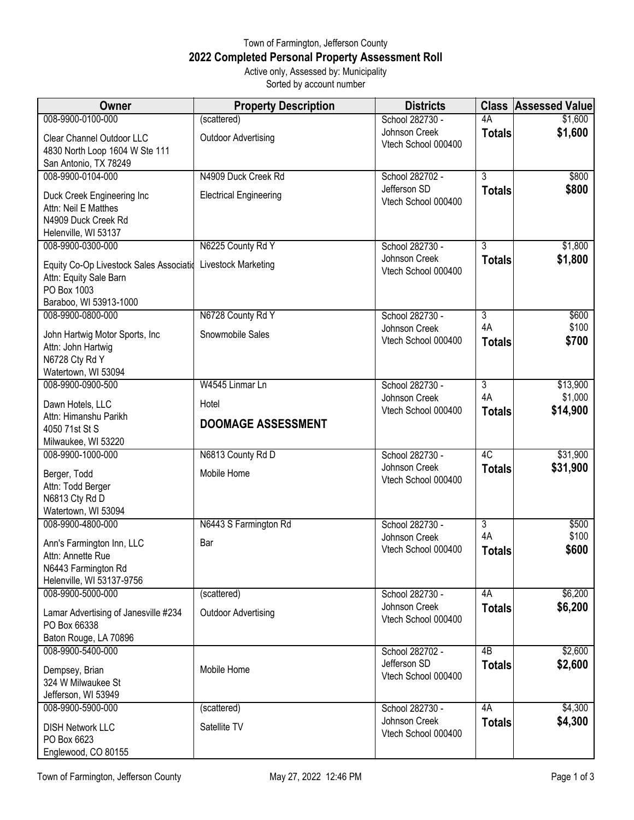## Town of Farmington, Jefferson County **2022 Completed Personal Property Assessment Roll** Active only, Assessed by: Municipality

Sorted by account number

| <b>Owner</b>                                                                     | <b>Property Description</b>   | <b>Districts</b>                     | <b>Class</b>        | <b>Assessed Value</b> |
|----------------------------------------------------------------------------------|-------------------------------|--------------------------------------|---------------------|-----------------------|
| 008-9900-0100-000                                                                | (scattered)                   | School 282730 -                      | 4A                  | \$1,600               |
| Clear Channel Outdoor LLC<br>4830 North Loop 1604 W Ste 111                      | <b>Outdoor Advertising</b>    | Johnson Creek<br>Vtech School 000400 | <b>Totals</b>       | \$1,600               |
| San Antonio, TX 78249                                                            |                               |                                      |                     |                       |
| 008-9900-0104-000                                                                | N4909 Duck Creek Rd           | School 282702 -                      | $\overline{3}$      | \$800                 |
| Duck Creek Engineering Inc<br>Attn: Neil E Matthes<br>N4909 Duck Creek Rd        | <b>Electrical Engineering</b> | Jefferson SD<br>Vtech School 000400  | <b>Totals</b>       | \$800                 |
| Helenville, WI 53137                                                             |                               |                                      |                     |                       |
| 008-9900-0300-000                                                                | N6225 County Rd Y             | School 282730 -                      | 3                   | \$1,800               |
| Equity Co-Op Livestock Sales Associatio<br>Attn: Equity Sale Barn<br>PO Box 1003 | Livestock Marketing           | Johnson Creek<br>Vtech School 000400 | <b>Totals</b>       | \$1,800               |
| Baraboo, WI 53913-1000                                                           |                               |                                      |                     |                       |
| 008-9900-0800-000                                                                | N6728 County Rd Y             | School 282730 -                      | $\overline{3}$      | \$600                 |
| John Hartwig Motor Sports, Inc.<br>Attn: John Hartwig<br>N6728 Cty Rd Y          | Snowmobile Sales              | Johnson Creek<br>Vtech School 000400 | 4A<br><b>Totals</b> | \$100<br>\$700        |
| Watertown, WI 53094                                                              |                               |                                      |                     |                       |
| 008-9900-0900-500                                                                | W4545 Linmar Ln               | School 282730 -                      | $\overline{3}$      | \$13,900              |
| Dawn Hotels, LLC                                                                 | Hotel                         | Johnson Creek<br>Vtech School 000400 | 4A                  | \$1,000               |
| Attn: Himanshu Parikh<br>4050 71st St S                                          | <b>DOOMAGE ASSESSMENT</b>     |                                      | <b>Totals</b>       | \$14,900              |
| Milwaukee, WI 53220<br>008-9900-1000-000                                         | N6813 County Rd D             | School 282730 -                      | 4C                  | \$31,900              |
|                                                                                  |                               | Johnson Creek                        | <b>Totals</b>       | \$31,900              |
| Berger, Todd                                                                     | Mobile Home                   | Vtech School 000400                  |                     |                       |
| Attn: Todd Berger<br>N6813 Cty Rd D                                              |                               |                                      |                     |                       |
| Watertown, WI 53094                                                              |                               |                                      |                     |                       |
| 008-9900-4800-000                                                                | N6443 S Farmington Rd         | School 282730 -                      | $\overline{3}$      | \$500                 |
| Ann's Farmington Inn, LLC                                                        | Bar                           | Johnson Creek                        | 4A                  | \$100                 |
| Attn: Annette Rue                                                                |                               | Vtech School 000400                  | <b>Totals</b>       | \$600                 |
| N6443 Farmington Rd                                                              |                               |                                      |                     |                       |
| Helenville, WI 53137-9756                                                        |                               |                                      |                     |                       |
| 008-9900-5000-000                                                                | (scattered)                   | School 282730 -                      | 4A                  | \$6,200               |
| Lamar Advertising of Janesville #234<br>PO Box 66338<br>Baton Rouge, LA 70896    | <b>Outdoor Advertising</b>    | Johnson Creek<br>Vtech School 000400 | <b>Totals</b>       | \$6,200               |
| 008-9900-5400-000                                                                |                               | School 282702 -                      | 4B                  | \$2,600               |
| Dempsey, Brian<br>324 W Milwaukee St<br>Jefferson, WI 53949                      | Mobile Home                   | Jefferson SD<br>Vtech School 000400  | <b>Totals</b>       | \$2,600               |
| 008-9900-5900-000                                                                | (scattered)                   | School 282730 -                      | 4A                  | \$4,300               |
| <b>DISH Network LLC</b><br>PO Box 6623<br>Englewood, CO 80155                    | Satellite TV                  | Johnson Creek<br>Vtech School 000400 | <b>Totals</b>       | \$4,300               |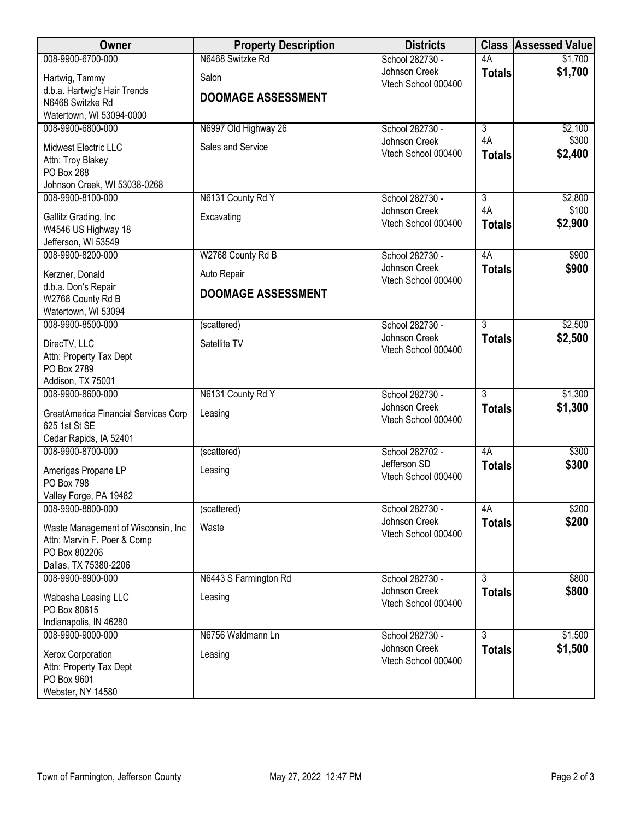| <b>Owner</b>                                 | <b>Property Description</b> | <b>Districts</b>                     | <b>Class</b>         | <b>Assessed Value</b> |
|----------------------------------------------|-----------------------------|--------------------------------------|----------------------|-----------------------|
| 008-9900-6700-000                            | N6468 Switzke Rd            | School 282730 -                      | 4A                   | \$1,700               |
| Hartwig, Tammy                               | Salon                       | Johnson Creek<br>Vtech School 000400 | <b>Totals</b>        | \$1,700               |
| d.b.a. Hartwig's Hair Trends                 | <b>DOOMAGE ASSESSMENT</b>   |                                      |                      |                       |
| N6468 Switzke Rd                             |                             |                                      |                      |                       |
| Watertown, WI 53094-0000                     |                             |                                      |                      |                       |
| 008-9900-6800-000                            | N6997 Old Highway 26        | School 282730 -<br>Johnson Creek     | $\overline{3}$<br>4A | \$2,100<br>\$300      |
| Midwest Electric LLC                         | Sales and Service           | Vtech School 000400                  | <b>Totals</b>        | \$2,400               |
| Attn: Troy Blakey                            |                             |                                      |                      |                       |
| PO Box 268<br>Johnson Creek, WI 53038-0268   |                             |                                      |                      |                       |
| 008-9900-8100-000                            | N6131 County Rd Y           | School 282730 -                      | $\overline{3}$       | \$2,800               |
|                                              |                             | Johnson Creek                        | 4A                   | \$100                 |
| Gallitz Grading, Inc                         | Excavating                  | Vtech School 000400                  | <b>Totals</b>        | \$2,900               |
| W4546 US Highway 18<br>Jefferson, WI 53549   |                             |                                      |                      |                       |
| 008-9900-8200-000                            | W2768 County Rd B           | School 282730 -                      | 4A                   | \$900                 |
|                                              |                             | Johnson Creek                        | <b>Totals</b>        | \$900                 |
| Kerzner, Donald<br>d.b.a. Don's Repair       | Auto Repair                 | Vtech School 000400                  |                      |                       |
| W2768 County Rd B                            | <b>DOOMAGE ASSESSMENT</b>   |                                      |                      |                       |
| Watertown, WI 53094                          |                             |                                      |                      |                       |
| 008-9900-8500-000                            | (scattered)                 | School 282730 -                      | $\overline{3}$       | \$2,500               |
| DirecTV, LLC                                 | Satellite TV                | Johnson Creek                        | <b>Totals</b>        | \$2,500               |
| Attn: Property Tax Dept                      |                             | Vtech School 000400                  |                      |                       |
| PO Box 2789                                  |                             |                                      |                      |                       |
| Addison, TX 75001                            |                             |                                      |                      |                       |
| 008-9900-8600-000                            | N6131 County Rd Y           | School 282730 -                      | $\overline{3}$       | \$1,300               |
| GreatAmerica Financial Services Corp         | Leasing                     | Johnson Creek<br>Vtech School 000400 | <b>Totals</b>        | \$1,300               |
| 625 1st St SE                                |                             |                                      |                      |                       |
| Cedar Rapids, IA 52401                       |                             |                                      |                      |                       |
| 008-9900-8700-000                            | (scattered)                 | School 282702 -<br>Jefferson SD      | 4A                   | \$300<br>\$300        |
| Amerigas Propane LP                          | Leasing                     | Vtech School 000400                  | <b>Totals</b>        |                       |
| PO Box 798                                   |                             |                                      |                      |                       |
| Valley Forge, PA 19482<br>008-9900-8800-000  | (scattered)                 | School 282730 -                      | 4A                   | \$200                 |
|                                              |                             | Johnson Creek                        | <b>Totals</b>        | \$200                 |
| Waste Management of Wisconsin, Inc.          | Waste                       | Vtech School 000400                  |                      |                       |
| Attn: Marvin F. Poer & Comp<br>PO Box 802206 |                             |                                      |                      |                       |
| Dallas, TX 75380-2206                        |                             |                                      |                      |                       |
| 008-9900-8900-000                            | N6443 S Farmington Rd       | School 282730 -                      | 3                    | \$800                 |
|                                              | Leasing                     | Johnson Creek                        | <b>Totals</b>        | \$800                 |
| Wabasha Leasing LLC<br>PO Box 80615          |                             | Vtech School 000400                  |                      |                       |
| Indianapolis, IN 46280                       |                             |                                      |                      |                       |
| 008-9900-9000-000                            | N6756 Waldmann Ln           | School 282730 -                      | $\overline{3}$       | \$1,500               |
| Xerox Corporation                            | Leasing                     | Johnson Creek                        | <b>Totals</b>        | \$1,500               |
| Attn: Property Tax Dept                      |                             | Vtech School 000400                  |                      |                       |
| PO Box 9601                                  |                             |                                      |                      |                       |
| Webster, NY 14580                            |                             |                                      |                      |                       |